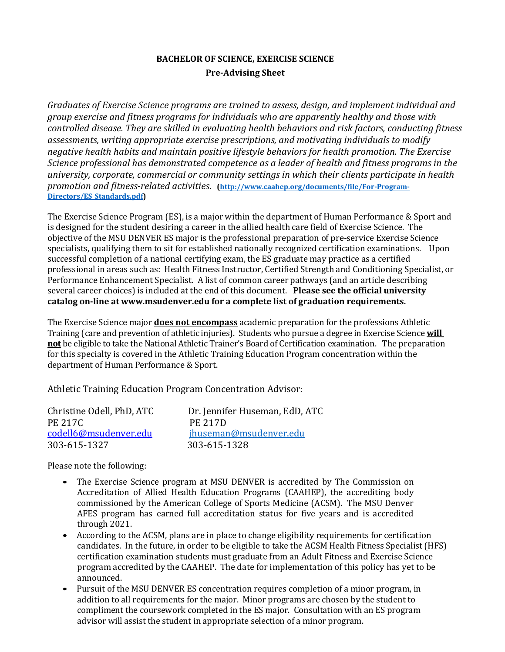# **BACHELOR OF SCIENCE, EXERCISE SCIENCE Pre-Advising Sheet**

*Graduates of Exercise Science programs are trained to assess, design, and implement individual and* group exercise and fitness programs for individuals who are apparently healthy and those with *controlled disease. They are skilled in evaluating health behaviors and risk factors, conducting fitness* assessments, writing appropriate exercise prescriptions, and motivating individuals to modify negative health habits and maintain positive lifestyle behaviors for health promotion. The Exercise *Science professional has demonstrated competence as a leader of health and fitness programs in the* university, corporate, commercial or community settings in which their clients participate in health promotion and fitness-related activities. (http://www.caahep.org/documents/file/For-Program-**Directors/ES\_Standards.pdf)**

The Exercise Science Program (ES), is a major within the department of Human Performance & Sport and is designed for the student desiring a career in the allied health care field of Exercise Science. The objective of the MSU DENVER ES major is the professional preparation of pre-service Exercise Science specialists, qualifying them to sit for established nationally recognized certification examinations. Upon successful completion of a national certifying exam, the ES graduate may practice as a certified professional in areas such as: Health Fitness Instructor, Certified Strength and Conditioning Specialist, or Performance Enhancement Specialist. A list of common career pathways (and an article describing several career choices) is included at the end of this document. **Please see the official university catalog on-line at www.msudenver.edu for a complete list of graduation requirements.**

The Exercise Science major **does not encompass** academic preparation for the professions Athletic Training (care and prevention of athletic injuries). Students who pursue a degree in Exercise Science **will not** be eligible to take the National Athletic Trainer's Board of Certification examination. The preparation for this specialty is covered in the Athletic Training Education Program concentration within the department of Human Performance & Sport.

Athletic Training Education Program Concentration Advisor:

| Christine Odell, PhD, ATC | Dr. Jennifer Huseman, EdD, ATC |
|---------------------------|--------------------------------|
| <b>PE 217C</b>            | <b>PE 217D</b>                 |
| codell6@msudenver.edu     | jhuseman@msudenver.edu         |
| 303-615-1327              | 303-615-1328                   |

Please note the following:

- The Exercise Science program at MSU DENVER is accredited by The Commission on Accreditation of Allied Health Education Programs (CAAHEP), the accrediting body commissioned by the American College of Sports Medicine (ACSM). The MSU Denver AFES program has earned full accreditation status for five years and is accredited through 2021.
- According to the ACSM, plans are in place to change eligibility requirements for certification candidates. In the future, in order to be eligible to take the ACSM Health Fitness Specialist (HFS) certification examination students must graduate from an Adult Fitness and Exercise Science program accredited by the CAAHEP. The date for implementation of this policy has yet to be announced.
- Pursuit of the MSU DENVER ES concentration requires completion of a minor program, in addition to all requirements for the major. Minor programs are chosen by the student to compliment the coursework completed in the ES major. Consultation with an ES program advisor will assist the student in appropriate selection of a minor program.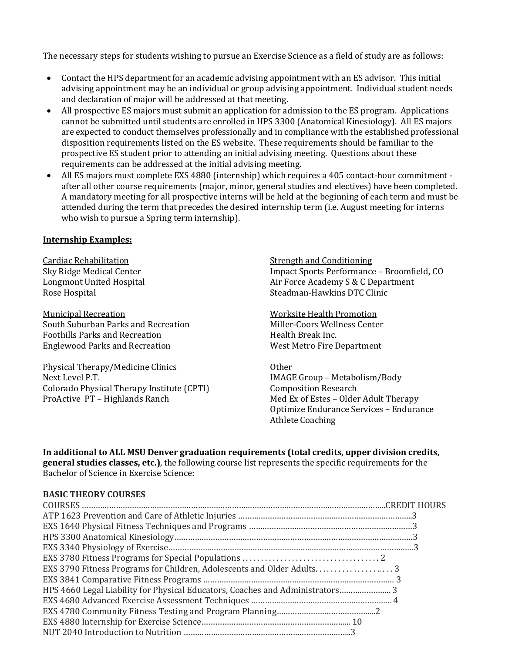The necessary steps for students wishing to pursue an Exercise Science as a field of study are as follows:

- Contact the HPS department for an academic advising appointment with an ES advisor. This initial advising appointment may be an individual or group advising appointment. Individual student needs and declaration of major will be addressed at that meeting.
- All prospective ES majors must submit an application for admission to the ES program. Applications cannot be submitted until students are enrolled in HPS 3300 (Anatomical Kinesiology). All ES majors are expected to conduct themselves professionally and in compliance with the established professional disposition requirements listed on the ES website. These requirements should be familiar to the prospective ES student prior to attending an initial advising meeting. Questions about these requirements can be addressed at the initial advising meeting.
- All ES majors must complete EXS 4880 (internship) which requires a 405 contact-hour commitment after all other course requirements (major, minor, general studies and electives) have been completed. A mandatory meeting for all prospective interns will be held at the beginning of each term and must be attended during the term that precedes the desired internship term (i.e. August meeting for interns who wish to pursue a Spring term internship).

## **Internship Examples:**

Cardiac Rehabilitation Sky Ridge Medical Center Longmont United Hospital Rose Hospital

Municipal Recreation South Suburban Parks and Recreation Foothills Parks and Recreation Englewood Parks and Recreation

Physical Therapy/Medicine Clinics Next Level P.T. Colorado Physical Therapy Institute (CPTI) ProActive PT – Highlands Ranch

Strength and Conditioning Impact Sports Performance – Broomfield, CO Air Force Academy S & C Department Steadman-Hawkins DTC Clinic

## Worksite Health Promotion

Miller-Coors Wellness Center Health Break Inc. West Metro Fire Department

#### Other

IMAGE Group - Metabolism/Body Composition Research Med Ex of Estes - Older Adult Therapy Optimize Endurance Services - Endurance **Athlete Coaching** 

# In additional to ALL MSU Denver graduation requirements (total credits, upper division credits,

**general studies classes, etc.)**, the following course list represents the specific requirements for the Bachelor of Science in Exercise Science:

## **BASIC THEORY COURSES**

| EXS 3790 Fitness Programs for Children, Adolescents and Older Adults3         |  |
|-------------------------------------------------------------------------------|--|
|                                                                               |  |
| HPS 4660 Legal Liability for Physical Educators, Coaches and Administrators 3 |  |
|                                                                               |  |
|                                                                               |  |
|                                                                               |  |
|                                                                               |  |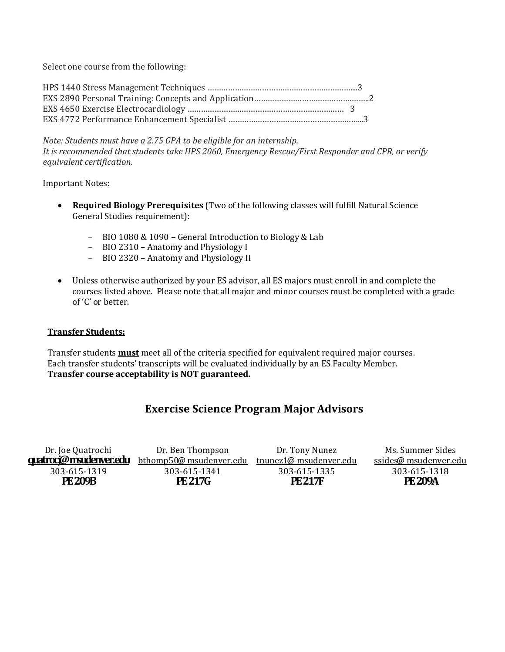Select one course from the following:

*Note: Students must have a 2.75 GPA to be eligible for an internship. It is recommended that students take HPS 2060, Emergency Rescue/First Responder and CPR, or verify equivalent certification.*

**Important Notes:** 

- Required Biology Prerequisites (Two of the following classes will fulfill Natural Science General Studies requirement):
	- BIO 1080 & 1090 General Introduction to Biology & Lab
	- BIO 2310 Anatomy and Physiology I
	- BIO 2320 Anatomy and Physiology II
- Unless otherwise authorized by your ES advisor, all ES majors must enroll in and complete the courses listed above. Please note that all major and minor courses must be completed with a grade of 'C' or better.

## **Transfer Students:**

Transfer students **must** meet all of the criteria specified for equivalent required major courses. Each transfer students' transcripts will be evaluated individually by an ES Faculty Member. **Transfer course acceptability is NOT guaranteed.**

# **Exercise Science Program Major Advisors**

| Dr. Joe Quatrochi      | Dr. Ben Thompson        | Dr. Tony Nunez         | Ms. Summer Sides      |
|------------------------|-------------------------|------------------------|-----------------------|
| quatrocj@msudenver.edu | bthomp50@ msudenver.edu | tnunez1@ msudenver.edu | ssides@ msudenver.edu |
| 303-615-1319           | 303-615-1341            | 303-615-1335           | 303-615-1318          |
| <b>PE 209B</b>         | <b>PE 217G</b>          | <b>PE217F</b>          | <b>PE 209A</b>        |